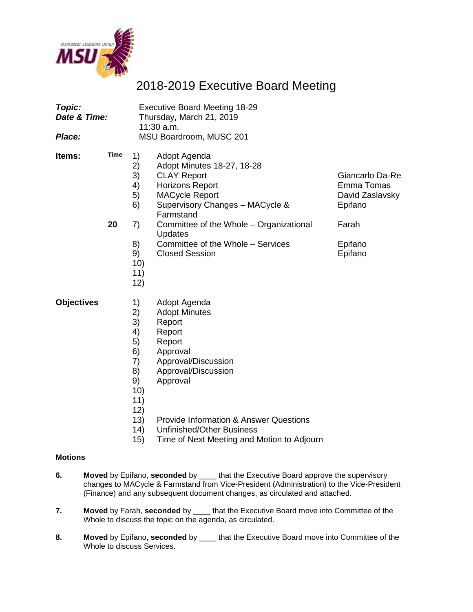

# 2018-2019 Executive Board Meeting

| Topic:<br>Date & Time:<br>Place: |                   | <b>Executive Board Meeting 18-29</b><br>Thursday, March 21, 2019<br>$11:30$ a.m.<br>MSU Boardroom, MUSC 201 |                                                                                                                                                                                                                                                                                         |                                                                                            |  |
|----------------------------------|-------------------|-------------------------------------------------------------------------------------------------------------|-----------------------------------------------------------------------------------------------------------------------------------------------------------------------------------------------------------------------------------------------------------------------------------------|--------------------------------------------------------------------------------------------|--|
| <b>Items:</b>                    | <b>Time</b><br>20 | 1)<br>2)<br>3)<br>4)<br>5)<br>6)<br>7)<br>8)<br>9)<br>10)<br>11)<br>12)                                     | Adopt Agenda<br>Adopt Minutes 18-27, 18-28<br><b>CLAY Report</b><br><b>Horizons Report</b><br><b>MACycle Report</b><br>Supervisory Changes - MACycle &<br>Farmstand<br>Committee of the Whole - Organizational<br>Updates<br>Committee of the Whole - Services<br><b>Closed Session</b> | Giancarlo Da-Re<br>Emma Tomas<br>David Zaslavsky<br>Epifano<br>Farah<br>Epifano<br>Epifano |  |
| <b>Objectives</b>                |                   | 1)<br>2)<br>3)<br>4)<br>5)<br>6)<br>7)<br>8)<br>9)<br>10)<br>11)<br>12)<br>13)                              | Adopt Agenda<br><b>Adopt Minutes</b><br>Report<br>Report<br>Report<br>Approval<br>Approval/Discussion<br>Approval/Discussion<br>Approval<br><b>Provide Information &amp; Answer Questions</b>                                                                                           |                                                                                            |  |

- 14) Unfinished/Other Business
- 15) Time of Next Meeting and Motion to Adjourn

#### **Motions**

- **6. Moved** by Epifano, **seconded** by \_\_\_\_ that the Executive Board approve the supervisory changes to MACycle & Farmstand from Vice-President (Administration) to the Vice-President (Finance) and any subsequent document changes, as circulated and attached.
- **7. Moved** by Farah, **seconded** by \_\_\_\_ that the Executive Board move into Committee of the Whole to discuss the topic on the agenda, as circulated.
- **8. Moved** by Epifano, **seconded** by \_\_\_\_ that the Executive Board move into Committee of the Whole to discuss Services.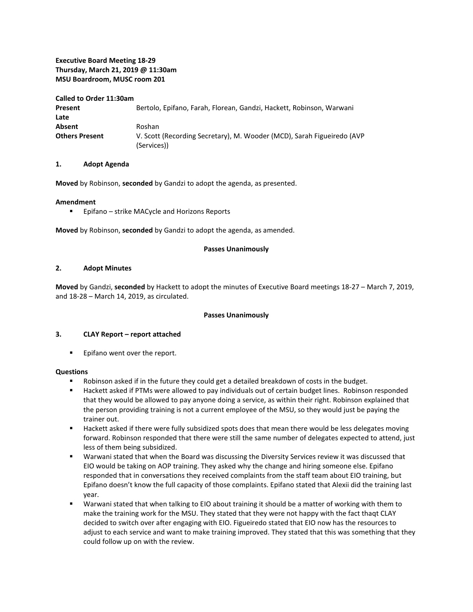#### **Executive Board Meeting 18-29 Thursday, March 21, 2019 @ 11:30am MSU Boardroom, MUSC room 201**

#### **Called to Order 11:30am**

| Present               | Bertolo, Epifano, Farah, Florean, Gandzi, Hackett, Robinson, Warwani                  |
|-----------------------|---------------------------------------------------------------------------------------|
| Late                  |                                                                                       |
| Absent                | Roshan                                                                                |
| <b>Others Present</b> | V. Scott (Recording Secretary), M. Wooder (MCD), Sarah Figueiredo (AVP<br>(Services)) |

#### **1. Adopt Agenda**

**Moved** by Robinson, **seconded** by Gandzi to adopt the agenda, as presented.

#### **Amendment**

**Epifano** – strike MACycle and Horizons Reports

**Moved** by Robinson, **seconded** by Gandzi to adopt the agenda, as amended.

#### **Passes Unanimously**

#### **2. Adopt Minutes**

**Moved** by Gandzi, **seconded** by Hackett to adopt the minutes of Executive Board meetings 18-27 – March 7, 2019, and 18-28 – March 14, 2019, as circulated.

#### **Passes Unanimously**

#### **3. CLAY Report – report attached**

**Epifano went over the report.** 

#### **Questions**

- Robinson asked if in the future they could get a detailed breakdown of costs in the budget.
- Hackett asked if PTMs were allowed to pay individuals out of certain budget lines. Robinson responded that they would be allowed to pay anyone doing a service, as within their right. Robinson explained that the person providing training is not a current employee of the MSU, so they would just be paying the trainer out.
- Hackett asked if there were fully subsidized spots does that mean there would be less delegates moving forward. Robinson responded that there were still the same number of delegates expected to attend, just less of them being subsidized.
- Warwani stated that when the Board was discussing the Diversity Services review it was discussed that EIO would be taking on AOP training. They asked why the change and hiring someone else. Epifano responded that in conversations they received complaints from the staff team about EIO training, but Epifano doesn't know the full capacity of those complaints. Epifano stated that Alexii did the training last year.
- Warwani stated that when talking to EIO about training it should be a matter of working with them to make the training work for the MSU. They stated that they were not happy with the fact thaqt CLAY decided to switch over after engaging with EIO. Figueiredo stated that EIO now has the resources to adjust to each service and want to make training improved. They stated that this was something that they could follow up on with the review.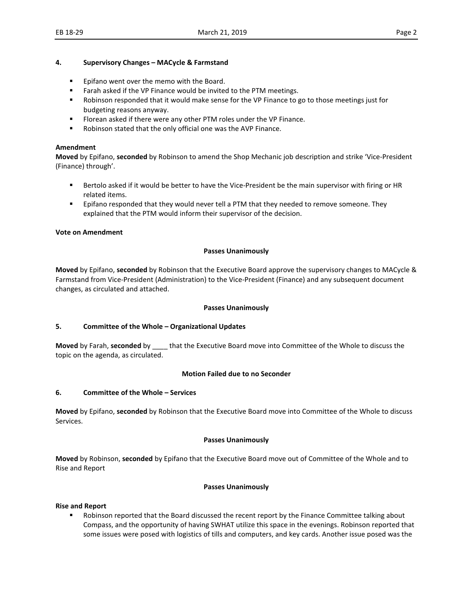#### **4. Supervisory Changes – MACycle & Farmstand**

- **Epifano went over the memo with the Board.**
- **Farah asked if the VP Finance would be invited to the PTM meetings.**
- **•** Robinson responded that it would make sense for the VP Finance to go to those meetings just for budgeting reasons anyway.
- Florean asked if there were any other PTM roles under the VP Finance.
- Robinson stated that the only official one was the AVP Finance.

#### **Amendment**

**Moved** by Epifano, **seconded** by Robinson to amend the Shop Mechanic job description and strike 'Vice-President (Finance) through'.

- **Bertolo asked if it would be better to have the Vice-President be the main supervisor with firing or HR** related items.
- **Example 3** Epifano responded that they would never tell a PTM that they needed to remove someone. They explained that the PTM would inform their supervisor of the decision.

#### **Vote on Amendment**

#### **Passes Unanimously**

**Moved** by Epifano, **seconded** by Robinson that the Executive Board approve the supervisory changes to MACycle & Farmstand from Vice-President (Administration) to the Vice-President (Finance) and any subsequent document changes, as circulated and attached.

#### **Passes Unanimously**

#### **5. Committee of the Whole – Organizational Updates**

**Moved** by Farah, **seconded** by \_\_\_\_ that the Executive Board move into Committee of the Whole to discuss the topic on the agenda, as circulated.

#### **Motion Failed due to no Seconder**

#### **6. Committee of the Whole – Services**

**Moved** by Epifano, **seconded** by Robinson that the Executive Board move into Committee of the Whole to discuss Services.

#### **Passes Unanimously**

**Moved** by Robinson, **seconded** by Epifano that the Executive Board move out of Committee of the Whole and to Rise and Report

#### **Passes Unanimously**

#### **Rise and Report**

**•** Robinson reported that the Board discussed the recent report by the Finance Committee talking about Compass, and the opportunity of having SWHAT utilize this space in the evenings. Robinson reported that some issues were posed with logistics of tills and computers, and key cards. Another issue posed was the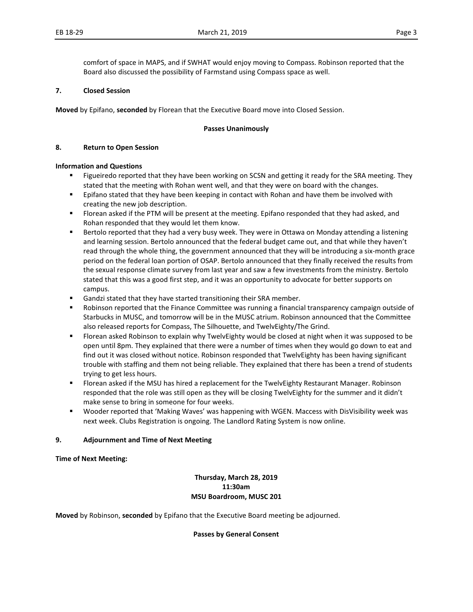comfort of space in MAPS, and if SWHAT would enjoy moving to Compass. Robinson reported that the Board also discussed the possibility of Farmstand using Compass space as well.

#### **7. Closed Session**

**Moved** by Epifano, **seconded** by Florean that the Executive Board move into Closed Session.

#### **Passes Unanimously**

#### **8. Return to Open Session**

#### **Information and Questions**

- **Figueiredo reported that they have been working on SCSN and getting it ready for the SRA meeting. They** stated that the meeting with Rohan went well, and that they were on board with the changes.
- **Epifano stated that they have been keeping in contact with Rohan and have them be involved with** creating the new job description.
- Florean asked if the PTM will be present at the meeting. Epifano responded that they had asked, and Rohan responded that they would let them know.
- Bertolo reported that they had a very busy week. They were in Ottawa on Monday attending a listening and learning session. Bertolo announced that the federal budget came out, and that while they haven't read through the whole thing, the government announced that they will be introducing a six-month grace period on the federal loan portion of OSAP. Bertolo announced that they finally received the results from the sexual response climate survey from last year and saw a few investments from the ministry. Bertolo stated that this was a good first step, and it was an opportunity to advocate for better supports on campus.
- Gandzi stated that they have started transitioning their SRA member.
- Robinson reported that the Finance Committee was running a financial transparency campaign outside of Starbucks in MUSC, and tomorrow will be in the MUSC atrium. Robinson announced that the Committee also released reports for Compass, The Silhouette, and TwelvEighty/The Grind.
- **FIOT** Florean asked Robinson to explain why TwelvEighty would be closed at night when it was supposed to be open until 8pm. They explained that there were a number of times when they would go down to eat and find out it was closed without notice. Robinson responded that TwelvEighty has been having significant trouble with staffing and them not being reliable. They explained that there has been a trend of students trying to get less hours.
- **FIOT** Florean asked if the MSU has hired a replacement for the TwelvEighty Restaurant Manager. Robinson responded that the role was still open as they will be closing TwelvEighty for the summer and it didn't make sense to bring in someone for four weeks.
- Wooder reported that 'Making Waves' was happening with WGEN. Maccess with DisVisibility week was next week. Clubs Registration is ongoing. The Landlord Rating System is now online.

#### **9. Adjournment and Time of Next Meeting**

**Time of Next Meeting:** 

#### **Thursday, March 28, 2019 11:30am MSU Boardroom, MUSC 201**

**Moved** by Robinson, **seconded** by Epifano that the Executive Board meeting be adjourned.

#### **Passes by General Consent**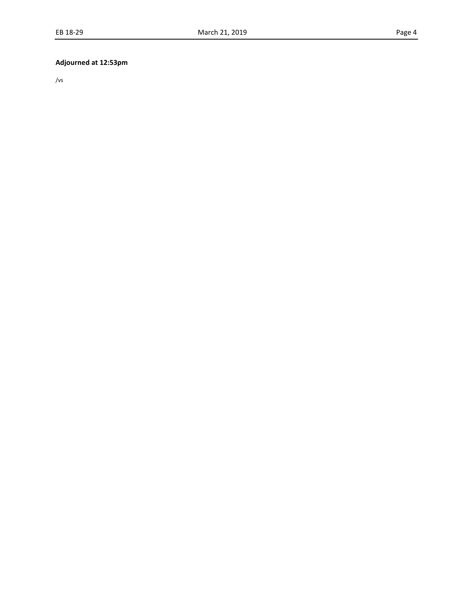# **Adjourned at 12:53pm**

/vs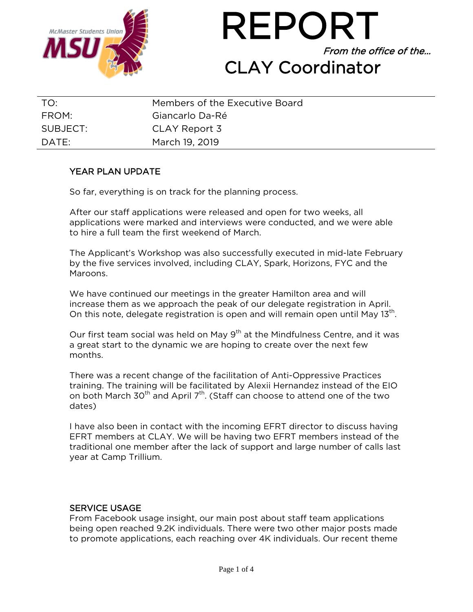



| TO:              | Members of the Executive Board |
|------------------|--------------------------------|
| FROM:            | Giancarlo Da-Ré                |
| SUBJECT:         | CLAY Report 3                  |
| $\mathsf{DATF:}$ | March 19, 2019                 |

# YEAR PLAN UPDATE

So far, everything is on track for the planning process.

After our staff applications were released and open for two weeks, all applications were marked and interviews were conducted, and we were able to hire a full team the first weekend of March.

The Applicant's Workshop was also successfully executed in mid-late February by the five services involved, including CLAY, Spark, Horizons, FYC and the Maroons.

We have continued our meetings in the greater Hamilton area and will increase them as we approach the peak of our delegate registration in April. On this note, delegate registration is open and will remain open until Mav 13<sup>th</sup>.

Our first team social was held on May  $9<sup>th</sup>$  at the Mindfulness Centre, and it was a great start to the dynamic we are hoping to create over the next few months.

There was a recent change of the facilitation of Anti-Oppressive Practices training. The training will be facilitated by Alexii Hernandez instead of the EIO on both March 30<sup>th</sup> and April 7<sup>th</sup>. (Staff can choose to attend one of the two dates)

I have also been in contact with the incoming EFRT director to discuss having EFRT members at CLAY. We will be having two EFRT members instead of the traditional one member after the lack of support and large number of calls last year at Camp Trillium.

## SERVICE USAGE

From Facebook usage insight, our main post about staff team applications being open reached 9.2K individuals. There were two other major posts made to promote applications, each reaching over 4K individuals. Our recent theme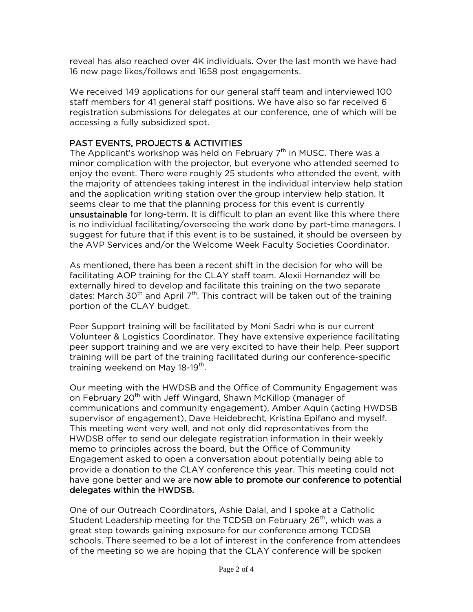reveal has also reached over 4K individuals. Over the last month we have had 16 new page likes/follows and 1658 post engagements.

We received 149 applications for our general staff team and interviewed 100 staff members for 41 general staff positions. We have also so far received 6 registration submissions for delegates at our conference, one of which will be accessing a fully subsidized spot.

# PAST EVENTS, PROJECTS & ACTIVITIES

The Applicant's workshop was held on February  $7<sup>th</sup>$  in MUSC. There was a minor complication with the projector, but everyone who attended seemed to enjoy the event. There were roughly 25 students who attended the event, with the majority of attendees taking interest in the individual interview help station and the application writing station over the group interview help station. It seems clear to me that the planning process for this event is currently unsustainable for long-term. It is difficult to plan an event like this where there is no individual facilitating/overseeing the work done by part-time managers. I suggest for future that if this event is to be sustained, it should be overseen by the AVP Services and/or the Welcome Week Faculty Societies Coordinator.

As mentioned, there has been a recent shift in the decision for who will be facilitating AOP training for the CLAY staff team. Alexii Hernandez will be externally hired to develop and facilitate this training on the two separate dates: March 30<sup>th</sup> and April  $7<sup>th</sup>$ . This contract will be taken out of the training portion of the CLAY budget.

Peer Support training will be facilitated by Moni Sadri who is our current Volunteer & Logistics Coordinator. They have extensive experience facilitating peer support training and we are very excited to have their help. Peer support training will be part of the training facilitated during our conference-specific training weekend on May 18-19<sup>th</sup>.

Our meeting with the HWDSB and the Office of Community Engagement was on February 20<sup>th</sup> with Jeff Wingard, Shawn McKillop (manager of communications and community engagement), Amber Aquin (acting HWDSB supervisor of engagement), Dave Heidebrecht, Kristina Epifano and myself. This meeting went very well, and not only did representatives from the HWDSB offer to send our delegate registration information in their weekly memo to principles across the board, but the Office of Community Engagement asked to open a conversation about potentially being able to provide a donation to the CLAY conference this year. This meeting could not have gone better and we are now able to promote our conference to potential delegates within the HWDSB.

One of our Outreach Coordinators, Ashie Dalal, and I spoke at a Catholic Student Leadership meeting for the TCDSB on February 26<sup>th</sup>, which was a great step towards gaining exposure for our conference among TCDSB schools. There seemed to be a lot of interest in the conference from attendees of the meeting so we are hoping that the CLAY conference will be spoken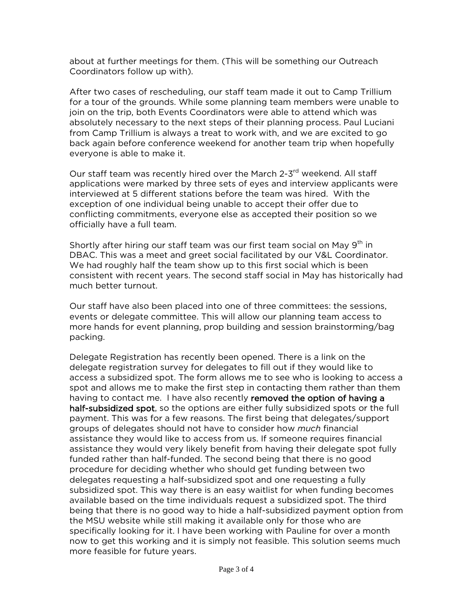about at further meetings for them. (This will be something our Outreach Coordinators follow up with).

After two cases of rescheduling, our staff team made it out to Camp Trillium for a tour of the grounds. While some planning team members were unable to join on the trip, both Events Coordinators were able to attend which was absolutely necessary to the next steps of their planning process. Paul Luciani from Camp Trillium is always a treat to work with, and we are excited to go back again before conference weekend for another team trip when hopefully everyone is able to make it.

Our staff team was recently hired over the March 2-3<sup>rd</sup> weekend. All staff applications were marked by three sets of eyes and interview applicants were interviewed at 5 different stations before the team was hired. With the exception of one individual being unable to accept their offer due to conflicting commitments, everyone else as accepted their position so we officially have a full team.

Shortly after hiring our staff team was our first team social on May 9<sup>th</sup> in DBAC. This was a meet and greet social facilitated by our V&L Coordinator. We had roughly half the team show up to this first social which is been consistent with recent years. The second staff social in May has historically had much better turnout.

Our staff have also been placed into one of three committees: the sessions, events or delegate committee. This will allow our planning team access to more hands for event planning, prop building and session brainstorming/bag packing.

Delegate Registration has recently been opened. There is a link on the delegate registration survey for delegates to fill out if they would like to access a subsidized spot. The form allows me to see who is looking to access a spot and allows me to make the first step in contacting them rather than them having to contact me. I have also recently removed the option of having a half-subsidized spot, so the options are either fully subsidized spots or the full payment. This was for a few reasons. The first being that delegates/support groups of delegates should not have to consider how *much* financial assistance they would like to access from us. If someone requires financial assistance they would very likely benefit from having their delegate spot fully funded rather than half-funded. The second being that there is no good procedure for deciding whether who should get funding between two delegates requesting a half-subsidized spot and one requesting a fully subsidized spot. This way there is an easy waitlist for when funding becomes available based on the time individuals request a subsidized spot. The third being that there is no good way to hide a half-subsidized payment option from the MSU website while still making it available only for those who are specifically looking for it. I have been working with Pauline for over a month now to get this working and it is simply not feasible. This solution seems much more feasible for future years.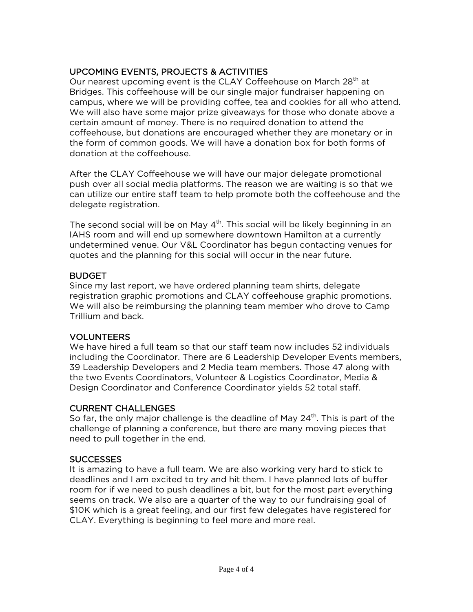# UPCOMING EVENTS, PROJECTS & ACTIVITIES

Our nearest upcoming event is the CLAY Coffeehouse on March 28<sup>th</sup> at Bridges. This coffeehouse will be our single major fundraiser happening on campus, where we will be providing coffee, tea and cookies for all who attend. We will also have some major prize giveaways for those who donate above a certain amount of money. There is no required donation to attend the coffeehouse, but donations are encouraged whether they are monetary or in the form of common goods. We will have a donation box for both forms of donation at the coffeehouse.

After the CLAY Coffeehouse we will have our major delegate promotional push over all social media platforms. The reason we are waiting is so that we can utilize our entire staff team to help promote both the coffeehouse and the delegate registration.

The second social will be on May  $4<sup>th</sup>$ . This social will be likely beginning in an IAHS room and will end up somewhere downtown Hamilton at a currently undetermined venue. Our V&L Coordinator has begun contacting venues for quotes and the planning for this social will occur in the near future.

# **BUDGET**

Since my last report, we have ordered planning team shirts, delegate registration graphic promotions and CLAY coffeehouse graphic promotions. We will also be reimbursing the planning team member who drove to Camp Trillium and back.

# VOLUNTEERS

We have hired a full team so that our staff team now includes 52 individuals including the Coordinator. There are 6 Leadership Developer Events members, 39 Leadership Developers and 2 Media team members. Those 47 along with the two Events Coordinators, Volunteer & Logistics Coordinator, Media & Design Coordinator and Conference Coordinator yields 52 total staff.

## CURRENT CHALLENGES

So far, the only major challenge is the deadline of May 24<sup>th</sup>. This is part of the challenge of planning a conference, but there are many moving pieces that need to pull together in the end.

# **SUCCESSES**

It is amazing to have a full team. We are also working very hard to stick to deadlines and I am excited to try and hit them. I have planned lots of buffer room for if we need to push deadlines a bit, but for the most part everything seems on track. We also are a quarter of the way to our fundraising goal of \$10K which is a great feeling, and our first few delegates have registered for CLAY. Everything is beginning to feel more and more real.